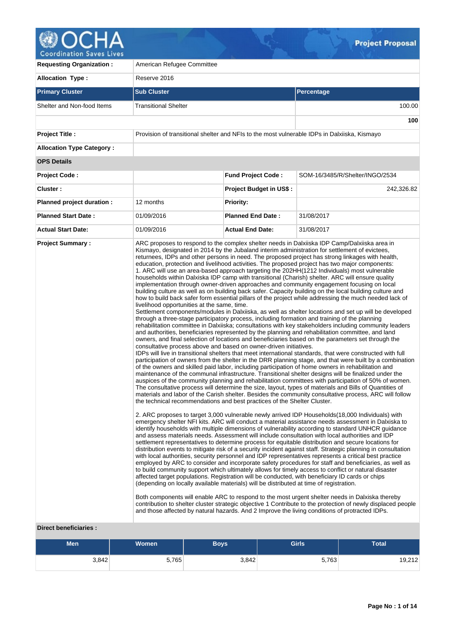

| <b>Requesting Organization:</b>  | American Refugee Committee                                                                                                                                                                                                                                                                                                                                                               |                                |                                                                                                                                                                                                                                                                                                                                                                                                                                                                                                                                                                                                                                                                                                                                                                                                                                                                                                                                                                                                                                                                                                                                                                                                                                                                                                                                                                                                                                                                                                                                                                                                                                                                                                                                                                                                                                                                                                                                                                                                                                                                                                                                                                                                                                                                                                                                                                                                                                                                                                                                                                                                                                                                                                                                                                                                                                                                                                                                                                                                                                                                                                                                                                                                                                                                                                                                                                                                                              |  |  |
|----------------------------------|------------------------------------------------------------------------------------------------------------------------------------------------------------------------------------------------------------------------------------------------------------------------------------------------------------------------------------------------------------------------------------------|--------------------------------|------------------------------------------------------------------------------------------------------------------------------------------------------------------------------------------------------------------------------------------------------------------------------------------------------------------------------------------------------------------------------------------------------------------------------------------------------------------------------------------------------------------------------------------------------------------------------------------------------------------------------------------------------------------------------------------------------------------------------------------------------------------------------------------------------------------------------------------------------------------------------------------------------------------------------------------------------------------------------------------------------------------------------------------------------------------------------------------------------------------------------------------------------------------------------------------------------------------------------------------------------------------------------------------------------------------------------------------------------------------------------------------------------------------------------------------------------------------------------------------------------------------------------------------------------------------------------------------------------------------------------------------------------------------------------------------------------------------------------------------------------------------------------------------------------------------------------------------------------------------------------------------------------------------------------------------------------------------------------------------------------------------------------------------------------------------------------------------------------------------------------------------------------------------------------------------------------------------------------------------------------------------------------------------------------------------------------------------------------------------------------------------------------------------------------------------------------------------------------------------------------------------------------------------------------------------------------------------------------------------------------------------------------------------------------------------------------------------------------------------------------------------------------------------------------------------------------------------------------------------------------------------------------------------------------------------------------------------------------------------------------------------------------------------------------------------------------------------------------------------------------------------------------------------------------------------------------------------------------------------------------------------------------------------------------------------------------------------------------------------------------------------------------------------------------|--|--|
| <b>Allocation Type:</b>          | Reserve 2016                                                                                                                                                                                                                                                                                                                                                                             |                                |                                                                                                                                                                                                                                                                                                                                                                                                                                                                                                                                                                                                                                                                                                                                                                                                                                                                                                                                                                                                                                                                                                                                                                                                                                                                                                                                                                                                                                                                                                                                                                                                                                                                                                                                                                                                                                                                                                                                                                                                                                                                                                                                                                                                                                                                                                                                                                                                                                                                                                                                                                                                                                                                                                                                                                                                                                                                                                                                                                                                                                                                                                                                                                                                                                                                                                                                                                                                                              |  |  |
| <b>Primary Cluster</b>           | <b>Sub Cluster</b>                                                                                                                                                                                                                                                                                                                                                                       |                                | Percentage                                                                                                                                                                                                                                                                                                                                                                                                                                                                                                                                                                                                                                                                                                                                                                                                                                                                                                                                                                                                                                                                                                                                                                                                                                                                                                                                                                                                                                                                                                                                                                                                                                                                                                                                                                                                                                                                                                                                                                                                                                                                                                                                                                                                                                                                                                                                                                                                                                                                                                                                                                                                                                                                                                                                                                                                                                                                                                                                                                                                                                                                                                                                                                                                                                                                                                                                                                                                                   |  |  |
| Shelter and Non-food Items       | <b>Transitional Shelter</b>                                                                                                                                                                                                                                                                                                                                                              |                                | 100.00                                                                                                                                                                                                                                                                                                                                                                                                                                                                                                                                                                                                                                                                                                                                                                                                                                                                                                                                                                                                                                                                                                                                                                                                                                                                                                                                                                                                                                                                                                                                                                                                                                                                                                                                                                                                                                                                                                                                                                                                                                                                                                                                                                                                                                                                                                                                                                                                                                                                                                                                                                                                                                                                                                                                                                                                                                                                                                                                                                                                                                                                                                                                                                                                                                                                                                                                                                                                                       |  |  |
|                                  |                                                                                                                                                                                                                                                                                                                                                                                          |                                | 100                                                                                                                                                                                                                                                                                                                                                                                                                                                                                                                                                                                                                                                                                                                                                                                                                                                                                                                                                                                                                                                                                                                                                                                                                                                                                                                                                                                                                                                                                                                                                                                                                                                                                                                                                                                                                                                                                                                                                                                                                                                                                                                                                                                                                                                                                                                                                                                                                                                                                                                                                                                                                                                                                                                                                                                                                                                                                                                                                                                                                                                                                                                                                                                                                                                                                                                                                                                                                          |  |  |
| <b>Project Title:</b>            | Provision of transitional shelter and NFIs to the most vulnerable IDPs in Dalxiiska, Kismayo                                                                                                                                                                                                                                                                                             |                                |                                                                                                                                                                                                                                                                                                                                                                                                                                                                                                                                                                                                                                                                                                                                                                                                                                                                                                                                                                                                                                                                                                                                                                                                                                                                                                                                                                                                                                                                                                                                                                                                                                                                                                                                                                                                                                                                                                                                                                                                                                                                                                                                                                                                                                                                                                                                                                                                                                                                                                                                                                                                                                                                                                                                                                                                                                                                                                                                                                                                                                                                                                                                                                                                                                                                                                                                                                                                                              |  |  |
| <b>Allocation Type Category:</b> |                                                                                                                                                                                                                                                                                                                                                                                          |                                |                                                                                                                                                                                                                                                                                                                                                                                                                                                                                                                                                                                                                                                                                                                                                                                                                                                                                                                                                                                                                                                                                                                                                                                                                                                                                                                                                                                                                                                                                                                                                                                                                                                                                                                                                                                                                                                                                                                                                                                                                                                                                                                                                                                                                                                                                                                                                                                                                                                                                                                                                                                                                                                                                                                                                                                                                                                                                                                                                                                                                                                                                                                                                                                                                                                                                                                                                                                                                              |  |  |
| <b>OPS Details</b>               |                                                                                                                                                                                                                                                                                                                                                                                          |                                |                                                                                                                                                                                                                                                                                                                                                                                                                                                                                                                                                                                                                                                                                                                                                                                                                                                                                                                                                                                                                                                                                                                                                                                                                                                                                                                                                                                                                                                                                                                                                                                                                                                                                                                                                                                                                                                                                                                                                                                                                                                                                                                                                                                                                                                                                                                                                                                                                                                                                                                                                                                                                                                                                                                                                                                                                                                                                                                                                                                                                                                                                                                                                                                                                                                                                                                                                                                                                              |  |  |
| <b>Project Code:</b>             |                                                                                                                                                                                                                                                                                                                                                                                          | <b>Fund Project Code:</b>      | SOM-16/3485/R/Shelter/INGO/2534                                                                                                                                                                                                                                                                                                                                                                                                                                                                                                                                                                                                                                                                                                                                                                                                                                                                                                                                                                                                                                                                                                                                                                                                                                                                                                                                                                                                                                                                                                                                                                                                                                                                                                                                                                                                                                                                                                                                                                                                                                                                                                                                                                                                                                                                                                                                                                                                                                                                                                                                                                                                                                                                                                                                                                                                                                                                                                                                                                                                                                                                                                                                                                                                                                                                                                                                                                                              |  |  |
| Cluster:                         |                                                                                                                                                                                                                                                                                                                                                                                          | <b>Project Budget in US\$:</b> | 242,326.82                                                                                                                                                                                                                                                                                                                                                                                                                                                                                                                                                                                                                                                                                                                                                                                                                                                                                                                                                                                                                                                                                                                                                                                                                                                                                                                                                                                                                                                                                                                                                                                                                                                                                                                                                                                                                                                                                                                                                                                                                                                                                                                                                                                                                                                                                                                                                                                                                                                                                                                                                                                                                                                                                                                                                                                                                                                                                                                                                                                                                                                                                                                                                                                                                                                                                                                                                                                                                   |  |  |
| Planned project duration :       | 12 months                                                                                                                                                                                                                                                                                                                                                                                | <b>Priority:</b>               |                                                                                                                                                                                                                                                                                                                                                                                                                                                                                                                                                                                                                                                                                                                                                                                                                                                                                                                                                                                                                                                                                                                                                                                                                                                                                                                                                                                                                                                                                                                                                                                                                                                                                                                                                                                                                                                                                                                                                                                                                                                                                                                                                                                                                                                                                                                                                                                                                                                                                                                                                                                                                                                                                                                                                                                                                                                                                                                                                                                                                                                                                                                                                                                                                                                                                                                                                                                                                              |  |  |
| <b>Planned Start Date:</b>       | 01/09/2016                                                                                                                                                                                                                                                                                                                                                                               | <b>Planned End Date:</b>       | 31/08/2017                                                                                                                                                                                                                                                                                                                                                                                                                                                                                                                                                                                                                                                                                                                                                                                                                                                                                                                                                                                                                                                                                                                                                                                                                                                                                                                                                                                                                                                                                                                                                                                                                                                                                                                                                                                                                                                                                                                                                                                                                                                                                                                                                                                                                                                                                                                                                                                                                                                                                                                                                                                                                                                                                                                                                                                                                                                                                                                                                                                                                                                                                                                                                                                                                                                                                                                                                                                                                   |  |  |
| <b>Actual Start Date:</b>        | 01/09/2016                                                                                                                                                                                                                                                                                                                                                                               | <b>Actual End Date:</b>        | 31/08/2017                                                                                                                                                                                                                                                                                                                                                                                                                                                                                                                                                                                                                                                                                                                                                                                                                                                                                                                                                                                                                                                                                                                                                                                                                                                                                                                                                                                                                                                                                                                                                                                                                                                                                                                                                                                                                                                                                                                                                                                                                                                                                                                                                                                                                                                                                                                                                                                                                                                                                                                                                                                                                                                                                                                                                                                                                                                                                                                                                                                                                                                                                                                                                                                                                                                                                                                                                                                                                   |  |  |
|                                  | livelihood opportunities at the same, time.<br>through a three-stage participatory process, including formation and training of the planning<br>consultative process above and based on owner-driven initiatives.<br>the technical recommendations and best practices of the Shelter Cluster.<br>(depending on locally available materials) will be distributed at time of registration. |                                | Kismayo, designated in 2014 by the Jubaland interim administration for settlement of evictees,<br>returnees, IDPs and other persons in need. The proposed project has strong linkages with health,<br>education, protection and livelihood activities. The proposed project has two major components:<br>1. ARC will use an area-based approach targeting the 202HH(1212 Individuals) most vulnerable<br>households within Dalxiska IDP camp with transitional (Charish) shelter. ARC will ensure quality<br>implementation through owner-driven approaches and community engagement focusing on local<br>building culture as well as on building back safer. Capacity building on the local building culture and<br>how to build back safer form essential pillars of the project while addressing the much needed lack of<br>Settlement components/modules in Dalxiiska, as well as shelter locations and set up will be developed<br>rehabilitation committee in Dalxiiska; consultations with key stakeholders including community leaders<br>and authorities, beneficiaries represented by the planning and rehabilitation committee, and land<br>owners, and final selection of locations and beneficiaries based on the parameters set through the<br>IDPs will live in transitional shelters that meet international standards, that were constructed with full<br>participation of owners from the shelter in the DRR planning stage, and that were built by a combination<br>of the owners and skilled paid labor, including participation of home owners in rehabilitation and<br>maintenance of the communal infrastructure. Transitional shelter designs will be finalized under the<br>auspices of the community planning and rehabilitation committees with participation of 50% of women.<br>The consultative process will determine the size, layout, types of materials and Bills of Quantities of<br>materials and labor of the Carish shelter. Besides the community consultative process, ARC will follow<br>2. ARC proposes to target 3,000 vulnerable newly arrived IDP Households(18,000 Individuals) with<br>emergency shelter NFI kits. ARC will conduct a material assistance needs assessment in Dalxiska to<br>identify households with multiple dimensions of vulnerability according to standard UNHCR guidance<br>and assess materials needs. Assessment will include consultation with local authorities and IDP<br>settlement representatives to determine process for equitable distribution and secure locations for<br>distribution events to mitigate risk of a security incident against staff. Strategic planning in consultation<br>with local authorities, security personnel and IDP representatives represents a critical best practice<br>employed by ARC to consider and incorporate safety procedures for staff and beneficiaries, as well as<br>to build community support which ultimately allows for timely access to conflict or natural disaster<br>affected target populations. Registration will be conducted, with beneficiary ID cards or chips<br>Both components will enable ARC to respond to the most urgent shelter needs in Dalxiska thereby<br>contribution to shelter cluster strategic objective 1 Contribute to the protection of newly displaced people<br>and those affected by natural hazards. And 2 Improve the living conditions of protracted IDPs. |  |  |

## **Direct beneficiaries :**

| <b>Men</b> | Women <sup>1</sup> | Boys' | <b>Girls</b> | Total  |
|------------|--------------------|-------|--------------|--------|
| 3,842      | 5,765              | 3,842 | 5,763        | 19,212 |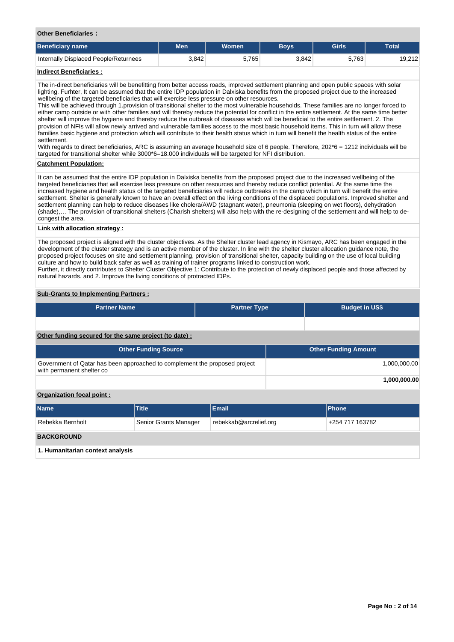**Other Beneficiaries :**

| <b>Beneficiary name</b>               | Men   | <b>Women</b> | <b>Bovs</b> | Girls | <b>Total</b> |
|---------------------------------------|-------|--------------|-------------|-------|--------------|
| Internally Displaced People/Returnees | 3,842 | 5.765        | 3.842       | 5,763 | 19,212       |
| .<br>the property of the con-         |       |              |             |       |              |

# **Indirect Beneficiaries :**

The in-direct beneficiaries will be benefitting from better access roads, improved settlement planning and open public spaces with solar lighting. Furhter, It can be assumed that the entire IDP population in Dalxiska benefits from the proposed project due to the increased wellbeing of the targeted beneficiaries that will exercise less pressure on other resources.

This will be achieved through 1.provision of transitional shelter to the most vulnerable households. These families are no longer forced to either camp outside or with other families and will thereby reduce the potential for conflict in the entire settlement. At the same time better shelter will improve the hygiene and thereby reduce the outbreak of diseases which will be beneficial to the entire settlement. 2. The provision of NFIs will allow newly arrived and vulnerable families access to the most basic household items. This in turn will allow these families basic hygiene and protection which will contribute to their health status which in turn will benefit the health status of the entire settlement.

With regards to direct beneficiaries, ARC is assuming an average household size of 6 people. Therefore, 202\*6 = 1212 individuals will be targeted for transitional shelter while 3000\*6=18.000 individuals will be targeted for NFI distribution.

# **Catchment Population:**

It can be assumed that the entire IDP population in Dalxiska benefits from the proposed project due to the increased wellbeing of the targeted beneficiaries that will exercise less pressure on other resources and thereby reduce conflict potential. At the same time the increased hygiene and health status of the targeted beneficiaries will reduce outbreaks in the camp which in turn will benefit the entire settlement. Shelter is generally known to have an overall effect on the living conditions of the displaced populations. Improved shelter and settlement planning can help to reduce diseases like cholera/AWD (stagnant water), pneumonia (sleeping on wet floors), dehydration (shade),… The provision of transitional shelters (Charish shelters) will also help with the re-designing of the settlement and will help to decongest the area.

# **Link with allocation strategy :**

The proposed project is aligned with the cluster objectives. As the Shelter cluster lead agency in Kismayo, ARC has been engaged in the development of the cluster strategy and is an active member of the cluster. In line with the shelter cluster allocation guidance note, the proposed project focuses on site and settlement planning, provision of transitional shelter, capacity building on the use of local building culture and how to build back safer as well as training of trainer programs linked to construction work. Further, it directly contributes to Shelter Cluster Objective 1: Contribute to the protection of newly displaced people and those affected by natural hazards. and 2. Improve the living conditions of protracted IDPs.

# **Sub-Grants to Implementing Partners :**

| <b>Partner Name</b>                                   | <b>Partner Type</b> | <b>Budget in US\$</b> |
|-------------------------------------------------------|---------------------|-----------------------|
|                                                       |                     |                       |
| Other funding secured for the same project (to date): |                     |                       |

| <b>Other Funding Source</b>                                                                             | <b>Other Funding Amount</b> |
|---------------------------------------------------------------------------------------------------------|-----------------------------|
| Government of Qatar has been approached to complement the proposed project<br>with permanent shelter co | 1.000.000.00                |
|                                                                                                         | 1.000.000.00                |

# **Organization focal point :**

| <b>Name</b>                      | <b>Title</b>          | Email                  | <b>Phone</b>    |
|----------------------------------|-----------------------|------------------------|-----------------|
| Rebekka Bernholt                 | Senior Grants Manager | rebekkab@arcrelief.org | +254 717 163782 |
| <b>BACKGROUND</b>                |                       |                        |                 |
| 1. Humanitarian context analysis |                       |                        |                 |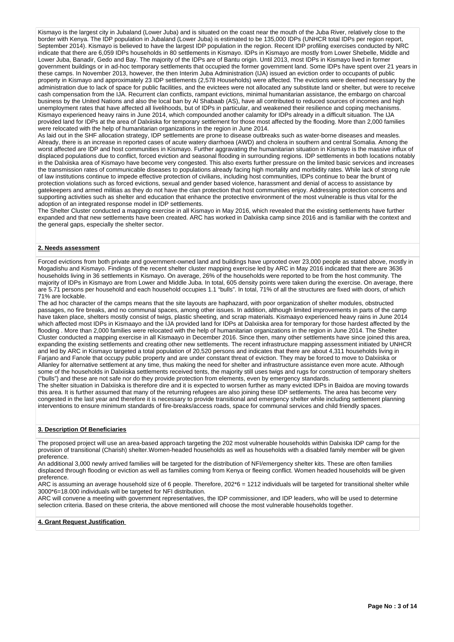Kismayo is the largest city in Jubaland (Lower Juba) and is situated on the coast near the mouth of the Juba River, relatively close to the border with Kenya. The IDP population in Jubaland (Lower Juba) is estimated to be 135,000 IDPs (UNHCR total IDPs per region report, September 2014). Kismayo is believed to have the largest IDP population in the region. Recent IDP profiling exercises conducted by NRC indicate that there are 6,059 IDPs households in 80 settlements in Kismayo. IDPs in Kismayo are mostly from Lower Shebelle, Middle and Lower Juba, Banadir, Gedo and Bay. The majority of the IDPs are of Bantu origin. Until 2013, most IDPs in Kismayo lived in former government buildings or in ad-hoc temporary settlements that occupied the former government land. Some IDPs have spent over 21 years in these camps. In November 2013, however, the then Interim Juba Administration (IJA) issued an eviction order to occupants of public property in Kismayo and approximately 23 IDP settlements (2,578 Households) were affected. The evictions were deemed necessary by the administration due to lack of space for public facilities, and the evictees were not allocated any substitute land or shelter, but were to receive cash compensation from the IJA. Recurrent clan conflicts, rampant evictions, minimal humanitarian assistance, the embargo on charcoal business by the United Nations and also the local ban by Al Shabaab (AS), have all contributed to reduced sources of incomes and high unemployment rates that have affected all livelihoods, but of IDPs in particular, and weakened their resilience and coping mechanisms. Kismayo experienced heavy rains in June 2014, which compounded another calamity for IDPs already in a difficult situation. The IJA provided land for IDPs at the area of Dalxiiska for temporary settlement for those most affected by the flooding. More than 2,000 families were relocated with the help of humanitarian organizations in the region in June 2014.

As laid out in the SHF allocation strategy, IDP settlements are prone to disease outbreaks such as water-borne diseases and measles. Already, there is an increase in reported cases of acute watery diarrhoea (AWD) and cholera in southern and central Somalia. Among the worst affected are IDP and host communities in Kismayo. Further aggravating the humanitarian situation in Kismayo is the massive influx of displaced populations due to conflict, forced eviction and seasonal flooding in surrounding regions. IDP settlements in both locations notably in the Dalxiiska area of Kismayo have become very congested. This also exerts further pressure on the limited basic services and increases the transmission rates of communicable diseases to populations already facing high mortality and morbidity rates. While lack of strong rule of law institutions continue to impede effective protection of civilians, including host communities, IDPs continue to bear the brunt of protection violations such as forced evictions, sexual and gender based violence, harassment and denial of access to assistance by gatekeepers and armed militias as they do not have the clan protection that host communities enjoy. Addressing protection concerns and supporting activities such as shelter and education that enhance the protective environment of the most vulnerable is thus vital for the adoption of an integrated response model in IDP settlements.

The Shelter Cluster conducted a mapping exercise in all Kismayo in May 2016, which revealed that the existing settlements have further expanded and that new settlements have been created. ARC has worked in Dalxiiska camp since 2016 and is familiar with the context and the general gaps, especially the shelter sector.

## **2. Needs assessment**

Forced evictions from both private and government-owned land and buildings have uprooted over 23,000 people as stated above, mostly in Mogadishu and Kismayo. Findings of the recent shelter cluster mapping exercise led by ARC in May 2016 indicated that there are 3636 households living in 36 settlements in Kismayo. On average, 26% of the households were reported to be from the host community. The majority of IDPs in Kismayo are from Lower and Middle Juba. In total, 605 density points were taken during the exercise. On average, there are 5.71 persons per household and each household occupies 1.1 "bulls". In total, 71% of all the structures are fixed with doors, of which 71% are lockable.

The ad hoc character of the camps means that the site layouts are haphazard, with poor organization of shelter modules, obstructed passages, no fire breaks, and no communal spaces, among other issues. In addition, although limited improvements in parts of the camp have taken place, shelters mostly consist of twigs, plastic sheeting, and scrap materials. Kismaayo experienced heavy rains in June 2014 which affected most IDPs in Kismaayo and the IJA provided land for IDPs at Dalxiiska area for temporary for those hardest affected by the flooding . More than 2,000 families were relocated with the help of humanitarian organizations in the region in June 2014. The Shelter Cluster conducted a mapping exercise in all Kismaayo in December 2016. Since then, many other settlements have since joined this area, expanding the existing settlements and creating other new settlements. The recent infrastructure mapping assessment initiated by UNHCR and led by ARC in Kismayo targeted a total population of 20,520 persons and indicates that there are about 4,311 households living in Farjano and Fanole that occupy public property and are under constant threat of eviction. They may be forced to move to Dalxiiska or Allanley for alternative settlement at any time, thus making the need for shelter and infrastructure assistance even more acute. Although some of the households in Dalxiiska settlements received tents, the majority still uses twigs and rugs for construction of temporary shelters ("bulls") and these are not safe nor do they provide protection from elements, even by emergency standards.

The shelter situation in Dalxiiska is therefore dire and it is expected to worsen further as many evicted IDPs in Baidoa are moving towards this area. It is further assumed that many of the returning refugees are also joining these IDP settlements. The area has become very congested in the last year and therefore it is necessary to provide transitional and emergency shelter while including settlement planning interventions to ensure minimum standards of fire-breaks/access roads, space for communal services and child friendly spaces.

## **3. Description Of Beneficiaries**

The proposed project will use an area-based approach targeting the 202 most vulnerable households within Dalxiska IDP camp for the provision of transitional (Charish) shelter.Women-headed households as well as households with a disabled family member will be given preference.

An additional 3,000 newly arrived families will be targeted for the distribution of NFI/emergency shelter kits. These are often families displaced through flooding or eviction as well as families coming from Kenya or fleeing conflict. Women headed households will be given preference.

ARC is assuming an average household size of 6 people. Therefore, 202\*6 = 1212 individuals will be targeted for transitional shelter while 3000\*6=18.000 individuals will be targeted for NFI distribution.

ARC will convene a meeting with government representatives, the IDP commissioner, and IDP leaders, who will be used to determine selection criteria. Based on these criteria, the above mentioned will choose the most vulnerable households together.

**4. Grant Request Justification**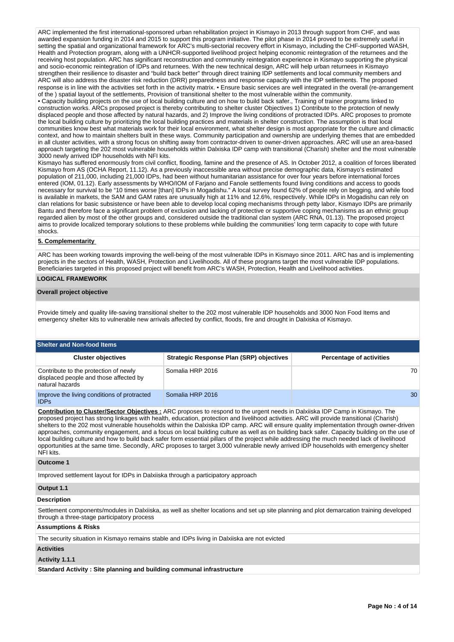ARC implemented the first international-sponsored urban rehabilitation project in Kismayo in 2013 through support from CHF, and was awarded expansion funding in 2014 and 2015 to support this program initiative. The pilot phase in 2014 proved to be extremely useful in setting the spatial and organizational framework for ARC's multi-sectorial recovery effort in Kismayo, including the CHF-supported WASH, Health and Protection program, along with a UNHCR-supported livelihood project helping economic reintegration of the returnees and the receiving host population. ARC has significant reconstruction and community reintegration experience in Kismayo supporting the physical and socio-economic reintegration of IDPs and returnees. With the new technical design, ARC will help urban returnees in Kismayo strengthen their resilience to disaster and "build back better" through direct training IDP settlements and local community members and ARC will also address the disaster risk reduction (DRR) preparedness and response capacity with the IDP settlements. The proposed response is in line with the activities set forth in the activity matrix. • Ensure basic services are well integrated in the overall (re-arrangement of the ) spatial layout of the settlements, Provision of transitional shelter to the most vulnerable within the community.

• Capacity building projects on the use of local building culture and on how to build back safer., Training of trainer programs linked to construction works. ARCs proposed project is thereby contributing to shelter cluster Objectives 1) Contribute to the protection of newly displaced people and those affected by natural hazards, and 2) Improve the living conditions of protracted IDPs. ARC proposes to promote the local building culture by prioritizing the local building practices and materials in shelter construction. The assumption is that local communities know best what materials work for their local environment, what shelter design is most appropriate for the culture and climactic context, and how to maintain shelters built in these ways. Community participation and ownership are underlying themes that are embedded in all cluster activities, with a strong focus on shifting away from contractor-driven to owner-driven approaches. ARC will use an area-based approach targeting the 202 most vulnerable households within Dalxiska IDP camp with transitional (Charish) shelter and the most vulnerable 3000 newly arrived IDP households with NFI kits.

Kismayo has suffered enormously from civil conflict, flooding, famine and the presence of AS. In October 2012, a coalition of forces liberated Kismayo from AS (OCHA Report, 11.12). As a previously inaccessible area without precise demographic data, Kismayo's estimated population of 211,000, including 21,000 IDPs, had been without humanitarian assistance for over four years before international forces entered (IOM, 01.12). Early assessments by WHO/IOM of Farjano and Fanole settlements found living conditions and access to goods necessary for survival to be "10 times worse [than] IDPs in Mogadishu." A local survey found 62% of people rely on begging, and while food is available in markets, the SAM and GAM rates are unusually high at 11% and 12.6%, respectively. While IDPs in Mogadishu can rely on clan relations for basic subsistence or have been able to develop local coping mechanisms through petty labor, Kismayo IDPs are primarily Bantu and therefore face a significant problem of exclusion and lacking of protective or supportive coping mechanisms as an ethnic group regarded alien by most of the other groups and, considered outside the traditional clan system (ARC RNA, 01.13). The proposed project aims to provide localized temporary solutions to these problems while building the communities' long term capacity to cope with future shocks.

## **5. Complementarity**

ARC has been working towards improving the well-being of the most vulnerable IDPs in Kismayo since 2011. ARC has and is implementing projects in the sectors of Health, WASH, Protection and Livelihoods. All of these programs target the most vulnerable IDP populations. Beneficiaries targeted in this proposed project will benefit from ARC's WASH, Protection, Health and Livelihood activities.

# **LOGICAL FRAMEWORK**

#### **Overall project objective**

Provide timely and quality life-saving transitional shelter to the 202 most vulnerable IDP households and 3000 Non Food Items and emergency shelter kits to vulnerable new arrivals affected by conflict, floods, fire and drought in Dalxiska of Kismayo.

## **Shelter and Non-food Items**

| <b>Cluster objectives</b>                                                                          | <b>Strategic Response Plan (SRP) objectives</b> | <b>Percentage of activities</b> |
|----------------------------------------------------------------------------------------------------|-------------------------------------------------|---------------------------------|
| Contribute to the protection of newly<br>displaced people and those affected by<br>natural hazards | Somalia HRP 2016                                | 70                              |
| Improve the living conditions of protracted<br><b>IDPs</b>                                         | Somalia HRP 2016                                | 30                              |

**Contribution to Cluster/Sector Objectives :** ARC proposes to respond to the urgent needs in Dalxiiska IDP Camp in Kismayo. The proposed project has strong linkages with health, education, protection and livelihood activities. ARC will provide transitional (Charish) shelters to the 202 most vulnerable households within the Dalxiska IDP camp. ARC will ensure quality implementation through owner-driven approaches, community engagement, and a focus on local building culture as well as on building back safer. Capacity building on the use of local building culture and how to build back safer form essential pillars of the project while addressing the much needed lack of livelihood opportunities at the same time. Secondly, ARC proposes to target 3,000 vulnerable newly arrived IDP households with emergency shelter NFI kits.

## **Outcome 1**

Improved settlement layout for IDPs in Dalxiiska through a participatory approach

# **Output 1.1**

#### **Description**

Settlement components/modules in Dalxiiska, as well as shelter locations and set up site planning and plot demarcation training developed through a three-stage participatory process

#### **Assumptions & Risks**

The security situation in Kismayo remains stable and IDPs living in Dalxiiska are not evicted

#### **Activities**

#### **Activity 1.1.1**

**Standard Activity : Site planning and building communal infrastructure**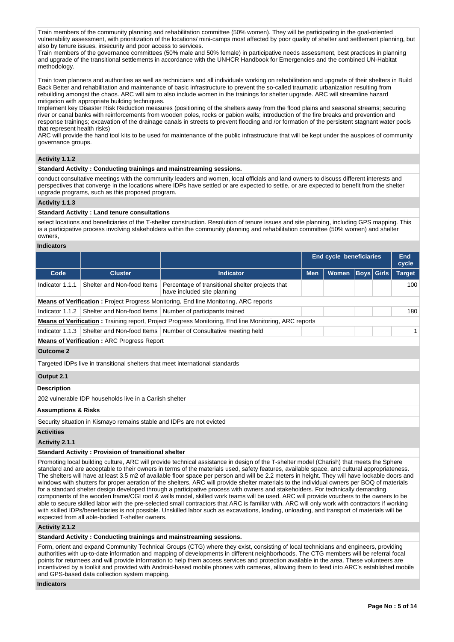Train members of the community planning and rehabilitation committee (50% women). They will be participating in the goal-oriented vulnerability assessment, with prioritization of the locations/ mini-camps most affected by poor quality of shelter and settlement planning, but also by tenure issues, insecurity and poor access to services.

Train members of the governance committees (50% male and 50% female) in participative needs assessment, best practices in planning and upgrade of the transitional settlements in accordance with the UNHCR Handbook for Emergencies and the combined UN-Habitat methodology.

Train town planners and authorities as well as technicians and all individuals working on rehabilitation and upgrade of their shelters in Build Back Better and rehabilitation and maintenance of basic infrastructure to prevent the so-called traumatic urbanization resulting from rebuilding amongst the chaos. ARC will aim to also include women in the trainings for shelter upgrade. ARC will streamline hazard mitigation with appropriate building techniques.

Implement key Disaster Risk Reduction measures (positioning of the shelters away from the flood plains and seasonal streams; securing river or canal banks with reinforcements from wooden poles, rocks or gabion walls; introduction of the fire breaks and prevention and response trainings; excavation of the drainage canals in streets to prevent flooding and /or formation of the persistent stagnant water pools that represent health risks)

ARC will provide the hand tool kits to be used for maintenance of the public infrastructure that will be kept under the auspices of community governance groups.

# **Activity 1.1.2**

## **Standard Activity : Conducting trainings and mainstreaming sessions.**

conduct consultative meetings with the community leaders and women, local officials and land owners to discuss different interests and perspectives that converge in the locations where IDPs have settled or are expected to settle, or are expected to benefit from the shelter upgrade programs, such as this proposed program.

# **Activity 1.1.3**

# **Standard Activity : Land tenure consultations**

select locations and beneficiaries of the T-shelter construction. Resolution of tenure issues and site planning, including GPS mapping. This is a participative process involving stakeholders within the community planning and rehabilitation committee (50% women) and shelter owners,

# **Indicators**

|                                                                       |                                                         |                                                                                                              | <b>End cycle beneficiaries</b> |              |             |              | <b>End</b><br>cycle |  |
|-----------------------------------------------------------------------|---------------------------------------------------------|--------------------------------------------------------------------------------------------------------------|--------------------------------|--------------|-------------|--------------|---------------------|--|
| Code                                                                  | <b>Cluster</b>                                          | <b>Indicator</b>                                                                                             | <b>Men</b>                     | <b>Women</b> | <b>Boys</b> | <b>Girls</b> | <b>Target</b>       |  |
| Indicator 1.1.1                                                       | Shelter and Non-food Items                              | Percentage of transitional shelter projects that<br>have included site planning                              |                                |              |             |              | 100                 |  |
|                                                                       |                                                         | <b>Means of Verification:</b> Project Progress Monitoring, End line Monitoring, ARC reports                  |                                |              |             |              |                     |  |
| Indicator 1.1.2                                                       |                                                         | Shelter and Non-food Items   Number of participants trained                                                  |                                |              |             |              | 180                 |  |
|                                                                       |                                                         | <b>Means of Verification:</b> Training report, Project Progress Monitoring, End line Monitoring, ARC reports |                                |              |             |              |                     |  |
|                                                                       |                                                         | Indicator 1.1.3 Shelter and Non-food Items Number of Consultative meeting held                               |                                |              |             |              |                     |  |
|                                                                       | <b>Means of Verification: ARC Progress Report</b>       |                                                                                                              |                                |              |             |              |                     |  |
| <b>Outcome 2</b>                                                      |                                                         |                                                                                                              |                                |              |             |              |                     |  |
|                                                                       |                                                         | Targeted IDPs live in transitional shelters that meet international standards                                |                                |              |             |              |                     |  |
| Output 2.1                                                            |                                                         |                                                                                                              |                                |              |             |              |                     |  |
| <b>Description</b>                                                    |                                                         |                                                                                                              |                                |              |             |              |                     |  |
|                                                                       | 202 vulnerable IDP households live in a Cariish shelter |                                                                                                              |                                |              |             |              |                     |  |
| <b>Assumptions &amp; Risks</b>                                        |                                                         |                                                                                                              |                                |              |             |              |                     |  |
| Security situation in Kismayo remains stable and IDPs are not evicted |                                                         |                                                                                                              |                                |              |             |              |                     |  |
| <b>Activities</b>                                                     |                                                         |                                                                                                              |                                |              |             |              |                     |  |

#### **Activity 2.1.1**

## **Standard Activity : Provision of transitional shelter**

Promoting local building culture, ARC will provide technical assistance in design of the T-shelter model (Charish) that meets the Sphere standard and are acceptable to their owners in terms of the materials used, safety features, available space, and cultural appropriateness. The shelters will have at least 3.5 m2 of available floor space per person and will be 2.2 meters in height. They will have lockable doors and windows with shutters for proper aeration of the shelters. ARC will provide shelter materials to the individual owners per BOQ of materials for a standard shelter design developed through a participative process with owners and stakeholders. For technically demanding components of the wooden frame/CGI roof & walls model, skilled work teams will be used. ARC will provide vouchers to the owners to be able to secure skilled labor with the pre-selected small contractors that ARC is familiar with. ARC will only work with contractors if working with skilled IDPs/beneficiaries is not possible. Unskilled labor such as excavations, loading, unloading, and transport of materials will be expected from all able-bodied T-shelter owners.

## **Activity 2.1.2**

# **Standard Activity : Conducting trainings and mainstreaming sessions.**

Form, orient and expand Community Technical Groups (CTG) where they exist, consisting of local technicians and engineers, providing authorities with up-to-date information and mapping of developments in different neighborhoods. The CTG members will be referral focal points for returnees and will provide information to help them access services and protection available in the area. These volunteers are incentivized by a toolkit and provided with Android-based mobile phones with cameras, allowing them to feed into ARC's established mobile and GPS-based data collection system mapping.

#### **Indicators**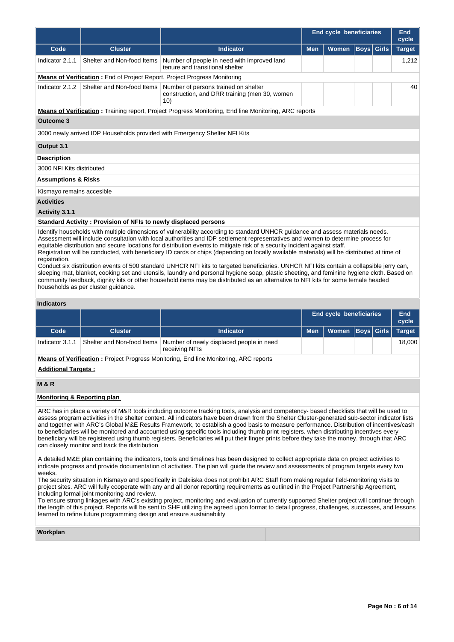|                                                                                                                                |                            |                                                                                                              | End cycle beneficiaries |              |                   | End<br>cycle |               |
|--------------------------------------------------------------------------------------------------------------------------------|----------------------------|--------------------------------------------------------------------------------------------------------------|-------------------------|--------------|-------------------|--------------|---------------|
| Code                                                                                                                           | <b>Cluster</b>             | <b>Indicator</b>                                                                                             | <b>Men</b>              | <b>Women</b> | <b>Boys</b> Girls |              | <b>Target</b> |
| Indicator 2.1.1                                                                                                                | Shelter and Non-food Items | Number of people in need with improved land<br>tenure and transitional shelter                               |                         |              |                   |              | 1,212         |
|                                                                                                                                |                            | <b>Means of Verification:</b> End of Project Report, Project Progress Monitoring                             |                         |              |                   |              |               |
| Indicator 2.1.2                                                                                                                | Shelter and Non-food Items | Number of persons trained on shelter<br>construction, and DRR training (men 30, women<br>10)                 |                         |              |                   |              | 40            |
|                                                                                                                                |                            | <b>Means of Verification:</b> Training report, Project Progress Monitoring, End line Monitoring, ARC reports |                         |              |                   |              |               |
| <b>Outcome 3</b>                                                                                                               |                            |                                                                                                              |                         |              |                   |              |               |
|                                                                                                                                |                            | 3000 newly arrived IDP Households provided with Emergency Shelter NFI Kits                                   |                         |              |                   |              |               |
| Output 3.1                                                                                                                     |                            |                                                                                                              |                         |              |                   |              |               |
| <b>Description</b>                                                                                                             |                            |                                                                                                              |                         |              |                   |              |               |
| 3000 NFI Kits distributed                                                                                                      |                            |                                                                                                              |                         |              |                   |              |               |
| <b>Assumptions &amp; Risks</b>                                                                                                 |                            |                                                                                                              |                         |              |                   |              |               |
| Kismayo remains accesible                                                                                                      |                            |                                                                                                              |                         |              |                   |              |               |
| <b>Activities</b>                                                                                                              |                            |                                                                                                              |                         |              |                   |              |               |
| Activity 3.1.1                                                                                                                 |                            |                                                                                                              |                         |              |                   |              |               |
| Standard Activity: Provision of NFIs to newly displaced persons                                                                |                            |                                                                                                              |                         |              |                   |              |               |
| Identify households with multiple dimensions of vulnerability according to standard UNHCR guidance and assess materials needs. |                            |                                                                                                              |                         |              |                   |              |               |

Assessment will include consultation with local authorities and IDP settlement representatives and women to determine process for equitable distribution and secure locations for distribution events to mitigate risk of a security incident against staff. Registration will be conducted, with beneficiary ID cards or chips (depending on locally available materials) will be distributed at time of registration.

Conduct six distribution events of 500 standard UNHCR NFI kits to targeted beneficiaries. UNHCR NFI kits contain a collapsible jerry can, sleeping mat, blanket, cooking set and utensils, laundry and personal hygiene soap, plastic sheeting, and feminine hygiene cloth. Based on community feedback, dignity kits or other household items may be distributed as an alternative to NFI kits for some female headed households as per cluster guidance.

# **Indicators**

|                                                                                             |                            |                                                            |            | <b>End cycle beneficiaries</b> |  |  | End<br>cycle  |  |
|---------------------------------------------------------------------------------------------|----------------------------|------------------------------------------------------------|------------|--------------------------------|--|--|---------------|--|
| Code                                                                                        | <b>Cluster</b>             | <b>Indicator</b>                                           | <b>Men</b> | Women   Boys   Girls           |  |  | <b>Target</b> |  |
| Indicator 3.1.1                                                                             | Shelter and Non-food Items | Number of newly displaced people in need<br>receiving NFIs |            |                                |  |  | 18.000        |  |
| <b>Means of Verification:</b> Project Progress Monitoring, End line Monitoring, ARC reports |                            |                                                            |            |                                |  |  |               |  |
| <b>Additional Targets:</b>                                                                  |                            |                                                            |            |                                |  |  |               |  |

# **M & R**

#### **Monitoring & Reporting plan**

ARC has in place a variety of M&R tools including outcome tracking tools, analysis and competency- based checklists that will be used to assess program activities in the shelter context. All indicators have been drawn from the Shelter Cluster-generated sub-sector indicator lists and together with ARC's Global M&E Results Framework, to establish a good basis to measure performance. Distribution of incentives/cash to beneficiaries will be monitored and accounted using specific tools including thumb print registers. when distributing incentives every beneficiary will be registered using thumb registers. Beneficiaries will put their finger prints before they take the money. through that ARC can closely monitor and track the distribution

A detailed M&E plan containing the indicators, tools and timelines has been designed to collect appropriate data on project activities to indicate progress and provide documentation of activities. The plan will guide the review and assessments of program targets every two weeks.

The security situation in Kismayo and specifically in Dalxiiska does not prohibit ARC Staff from making regular field-monitoring visits to project sites. ARC will fully cooperate with any and all donor reporting requirements as outlined in the Project Partnership Agreement, including formal joint monitoring and review.

To ensure strong linkages with ARC's existing project, monitoring and evaluation of currently supported Shelter project will continue through the length of this project. Reports will be sent to SHF utilizing the agreed upon format to detail progress, challenges, successes, and lessons learned to refine future programming design and ensure sustainability

## **Workplan**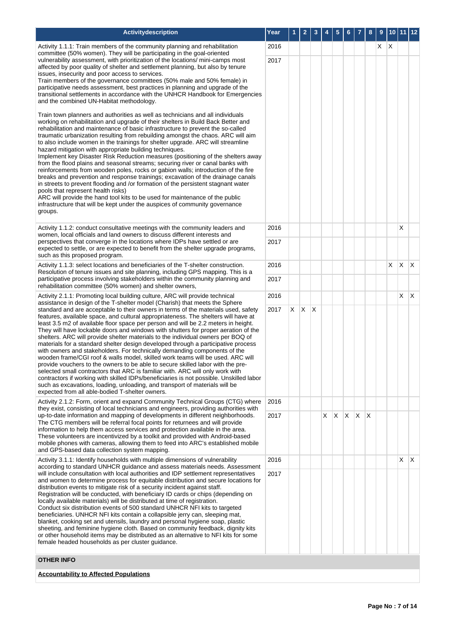| Activitydescription                                                                                                                                                                                                                                                                                                                                                                                                                                                                                                                                                                                                                                                                                                                                                                                                                                                                                                                                                                                                                                                                                                                                                                                                                                                          | Year |   | 2 | 3            | 4  | 5  | 6   |    | 8 | 9 |    | 10 11 12 |              |
|------------------------------------------------------------------------------------------------------------------------------------------------------------------------------------------------------------------------------------------------------------------------------------------------------------------------------------------------------------------------------------------------------------------------------------------------------------------------------------------------------------------------------------------------------------------------------------------------------------------------------------------------------------------------------------------------------------------------------------------------------------------------------------------------------------------------------------------------------------------------------------------------------------------------------------------------------------------------------------------------------------------------------------------------------------------------------------------------------------------------------------------------------------------------------------------------------------------------------------------------------------------------------|------|---|---|--------------|----|----|-----|----|---|---|----|----------|--------------|
| Activity 1.1.1: Train members of the community planning and rehabilitation<br>committee (50% women). They will be participating in the goal-oriented                                                                                                                                                                                                                                                                                                                                                                                                                                                                                                                                                                                                                                                                                                                                                                                                                                                                                                                                                                                                                                                                                                                         |      |   |   |              |    |    |     |    |   | X | X  |          |              |
| vulnerability assessment, with prioritization of the locations/ mini-camps most<br>affected by poor quality of shelter and settlement planning, but also by tenure<br>issues, insecurity and poor access to services.<br>Train members of the governance committees (50% male and 50% female) in<br>participative needs assessment, best practices in planning and upgrade of the<br>transitional settlements in accordance with the UNHCR Handbook for Emergencies                                                                                                                                                                                                                                                                                                                                                                                                                                                                                                                                                                                                                                                                                                                                                                                                          | 2017 |   |   |              |    |    |     |    |   |   |    |          |              |
| and the combined UN-Habitat methodology.<br>Train town planners and authorities as well as technicians and all individuals<br>working on rehabilitation and upgrade of their shelters in Build Back Better and<br>rehabilitation and maintenance of basic infrastructure to prevent the so-called<br>traumatic urbanization resulting from rebuilding amongst the chaos. ARC will aim<br>to also include women in the trainings for shelter upgrade. ARC will streamline<br>hazard mitigation with appropriate building techniques.<br>Implement key Disaster Risk Reduction measures (positioning of the shelters away<br>from the flood plains and seasonal streams; securing river or canal banks with<br>reinforcements from wooden poles, rocks or gabion walls; introduction of the fire<br>breaks and prevention and response trainings; excavation of the drainage canals<br>in streets to prevent flooding and /or formation of the persistent stagnant water<br>pools that represent health risks)<br>ARC will provide the hand tool kits to be used for maintenance of the public<br>infrastructure that will be kept under the auspices of community governance<br>groups.                                                                                       |      |   |   |              |    |    |     |    |   |   |    |          |              |
| Activity 1.1.2: conduct consultative meetings with the community leaders and<br>women, local officials and land owners to discuss different interests and                                                                                                                                                                                                                                                                                                                                                                                                                                                                                                                                                                                                                                                                                                                                                                                                                                                                                                                                                                                                                                                                                                                    | 2016 |   |   |              |    |    |     |    |   |   |    | X        |              |
| perspectives that converge in the locations where IDPs have settled or are<br>expected to settle, or are expected to benefit from the shelter upgrade programs,<br>such as this proposed program.                                                                                                                                                                                                                                                                                                                                                                                                                                                                                                                                                                                                                                                                                                                                                                                                                                                                                                                                                                                                                                                                            | 2017 |   |   |              |    |    |     |    |   |   |    |          |              |
| Activity 1.1.3: select locations and beneficiaries of the T-shelter construction.<br>Resolution of tenure issues and site planning, including GPS mapping. This is a<br>participative process involving stakeholders within the community planning and<br>rehabilitation committee (50% women) and shelter owners,                                                                                                                                                                                                                                                                                                                                                                                                                                                                                                                                                                                                                                                                                                                                                                                                                                                                                                                                                           |      |   |   |              |    |    |     |    |   |   | X. | $X$ $X$  |              |
|                                                                                                                                                                                                                                                                                                                                                                                                                                                                                                                                                                                                                                                                                                                                                                                                                                                                                                                                                                                                                                                                                                                                                                                                                                                                              |      |   |   |              |    |    |     |    |   |   |    |          |              |
| Activity 2.1.1: Promoting local building culture, ARC will provide technical<br>2016<br>assistance in design of the T-shelter model (Charish) that meets the Sphere<br>standard and are acceptable to their owners in terms of the materials used, safety<br>2017<br>features, available space, and cultural appropriateness. The shelters will have at<br>least 3.5 m2 of available floor space per person and will be 2.2 meters in height.<br>They will have lockable doors and windows with shutters for proper aeration of the<br>shelters. ARC will provide shelter materials to the individual owners per BOQ of<br>materials for a standard shelter design developed through a participative process<br>with owners and stakeholders. For technically demanding components of the<br>wooden frame/CGI roof & walls model, skilled work teams will be used. ARC will<br>provide vouchers to the owners to be able to secure skilled labor with the pre-<br>selected small contractors that ARC is familiar with. ARC will only work with<br>contractors if working with skilled IDPs/beneficiaries is not possible. Unskilled labor<br>such as excavations, loading, unloading, and transport of materials will be<br>expected from all able-bodied T-shelter owners. |      |   |   |              |    |    |     |    |   |   |    | X        | $\mathsf{X}$ |
|                                                                                                                                                                                                                                                                                                                                                                                                                                                                                                                                                                                                                                                                                                                                                                                                                                                                                                                                                                                                                                                                                                                                                                                                                                                                              |      | X | X | $\mathsf{X}$ |    |    |     |    |   |   |    |          |              |
| Activity 2.1.2: Form, orient and expand Community Technical Groups (CTG) where<br>they exist, consisting of local technicians and engineers, providing authorities with                                                                                                                                                                                                                                                                                                                                                                                                                                                                                                                                                                                                                                                                                                                                                                                                                                                                                                                                                                                                                                                                                                      | 2016 |   |   |              |    |    |     |    |   |   |    |          |              |
| up-to-date information and mapping of developments in different neighborhoods.<br>The CTG members will be referral focal points for returnees and will provide<br>information to help them access services and protection available in the area.<br>These volunteers are incentivized by a toolkit and provided with Android-based<br>mobile phones with cameras, allowing them to feed into ARC's established mobile<br>and GPS-based data collection system mapping.                                                                                                                                                                                                                                                                                                                                                                                                                                                                                                                                                                                                                                                                                                                                                                                                       |      |   |   |              | X. | X. | ΙX. | XX |   |   |    |          |              |
| Activity 3.1.1: Identify households with multiple dimensions of vulnerability<br>according to standard UNHCR guidance and assess materials needs. Assessment                                                                                                                                                                                                                                                                                                                                                                                                                                                                                                                                                                                                                                                                                                                                                                                                                                                                                                                                                                                                                                                                                                                 | 2016 |   |   |              |    |    |     |    |   |   |    | X        | $\mathsf{X}$ |
| will include consultation with local authorities and IDP settlement representatives<br>and women to determine process for equitable distribution and secure locations for<br>distribution events to mitigate risk of a security incident against staff.<br>Registration will be conducted, with beneficiary ID cards or chips (depending on<br>locally available materials) will be distributed at time of registration.<br>Conduct six distribution events of 500 standard UNHCR NFI kits to targeted<br>beneficiaries. UNHCR NFI kits contain a collapsible jerry can, sleeping mat,<br>blanket, cooking set and utensils, laundry and personal hygiene soap, plastic<br>sheeting, and feminine hygiene cloth. Based on community feedback, dignity kits<br>or other household items may be distributed as an alternative to NFI kits for some<br>female headed households as per cluster guidance.                                                                                                                                                                                                                                                                                                                                                                        |      |   |   |              |    |    |     |    |   |   |    |          |              |
| <b>OTHER INFO</b>                                                                                                                                                                                                                                                                                                                                                                                                                                                                                                                                                                                                                                                                                                                                                                                                                                                                                                                                                                                                                                                                                                                                                                                                                                                            |      |   |   |              |    |    |     |    |   |   |    |          |              |
| <b>Accountability to Affected Populations</b>                                                                                                                                                                                                                                                                                                                                                                                                                                                                                                                                                                                                                                                                                                                                                                                                                                                                                                                                                                                                                                                                                                                                                                                                                                |      |   |   |              |    |    |     |    |   |   |    |          |              |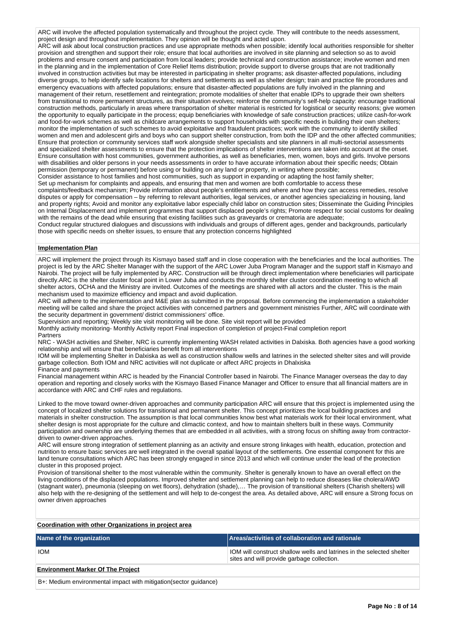ARC will involve the affected population systematically and throughout the project cycle. They will contribute to the needs assessment. project design and throughout implementation. They opinion will be thought and acted upon. ARC will ask about local construction practices and use appropriate methods when possible; identify local authorities responsible for shelter provision and strengthen and support their role; ensure that local authorities are involved in site planning and selection so as to avoid problems and ensure consent and participation from local leaders; provide technical and construction assistance; involve women and men in the planning and in the implementation of Core Relief Items distribution; provide support to diverse groups that are not traditionally involved in construction activities but may be interested in participating in shelter programs; ask disaster-affected populations, including diverse groups, to help identify safe locations for shelters and settlements as well as shelter design; train and practice file procedures and emergency evacuations with affected populations; ensure that disaster-affected populations are fully involved in the planning and management of their return, resettlement and reintegration; promote modalities of shelter that enable IDPs to upgrade their own shelters from transitional to more permanent structures, as their situation evolves; reinforce the community's self-help capacity: encourage traditional construction methods, particularly in areas where transportation of shelter material is restricted for logistical or security reasons; give women the opportunity to equally participate in the process; equip beneficiaries with knowledge of safe construction practices; utilize cash-for-work and food-for-work schemes as well as childcare arrangements to support households with specific needs in building their own shelters; monitor the implementation of such schemes to avoid exploitative and fraudulent practices; work with the community to identify skilled women and men and adolescent girls and boys who can support shelter construction, from both the IDP and the other affected communities; Ensure that protection or community services staff work alongside shelter specialists and site planners in all multi-sectorial assessments and specialized shelter assessments to ensure that the protection implications of shelter interventions are taken into account at the onset. Ensure consultation with host communities, government authorities, as well as beneficiaries, men, women, boys and girls. Involve persons with disabilities and older persons in your needs assessments in order to have accurate information about their specific needs; Obtain permission (temporary or permanent) before using or building on any land or property, in writing where possible; Consider assistance to host families and host communities, such as support in expanding or adapting the host family shelter; Set up mechanism for complaints and appeals, and ensuring that men and women are both comfortable to access these complaints/feedback mechanism; Provide information about people's entitlements and where and how they can access remedies, resolve disputes or apply for compensation – by referring to relevant authorities, legal services, or another agencies specializing in housing, land and property rights; Avoid and monitor any exploitative labor especially child labor on construction sites; Disseminate the Guiding Principles on Internal Displacement and implement programmes that support displaced people's rights; Promote respect for social customs for dealing with the remains of the dead while ensuring that existing facilities such as graveyards or crematoria are adequate; Conduct regular structured dialogues and discussions with individuals and groups of different ages, gender and backgrounds, particularly those with specific needs on shelter issues, to ensure that any protection concerns highlighted

## **Implementation Plan**

ARC will implement the project through its Kismayo based staff and in close cooperation with the beneficiaries and the local authorities. The project is led by the ARC Shelter Manager with the support of the ARC Lower Juba Program Manager and the support staff in Kismayo and Nairobi. The project will be fully implemented by ARC. Construction will be through direct implementation where beneficiaries will participate directly.ARC is the shelter cluster focal point in Lower Juba and conducts the monthly shelter cluster coordination meeting to which all shelter actors, OCHA and the Ministry are invited. Outcomes of the meetings are shared with all actors and the cluster. This is the main mechanism used to maximize efficiency and impact and avoid duplication.

ARC will adhere to the implementation and M&E plan as submitted in the proposal. Before commencing the implementation a stakeholder meeting will be called and share the project activities with concerned partners and government ministries Further, ARC will coordinate with the security department in government/ district commissioners' office.

Supervision and reporting; Weekly site visit monitoring will be done. Site visit report will be provided

Monthly activity monitoring- Monthly Activity report Final inspection of completion of project-Final completion report

Partners

NRC - WASH activities and Shelter, NRC is currently implementing WASH related activities in Dalxiska. Both agencies have a good working relationship and will ensure that beneficiaries benefit from all interventions

IOM will be implementing Shelter in Dalxiska as well as construction shallow wells and latrines in the selected shelter sites and will provide garbage collection. Both IOM and NRC activities will not duplicate or affect ARC projects in Dhalxiska Finance and payments

Financial management within ARC is headed by the Financial Controller based in Nairobi. The Finance Manager overseas the day to day operation and reporting and closely works with the Kismayo Based Finance Manager and Officer to ensure that all financial matters are in accordance with ARC and CHF rules and regulations.

Linked to the move toward owner-driven approaches and community participation ARC will ensure that this project is implemented using the concept of localized shelter solutions for transitional and permanent shelter. This concept prioritizes the local building practices and materials in shelter construction. The assumption is that local communities know best what materials work for their local environment, what shelter design is most appropriate for the culture and climactic context, and how to maintain shelters built in these ways. Community participation and ownership are underlying themes that are embedded in all activities, with a strong focus on shifting away from contractordriven to owner-driven approaches.

ARC will ensure strong integration of settlement planning as an activity and ensure strong linkages with health, education, protection and nutrition to ensure basic services are well integrated in the overall spatial layout of the settlements. One essential component for this are land tenure consultations which ARC has been strongly engaged in since 2013 and which will continue under the lead of the protection cluster in this proposed project.

Provision of transitional shelter to the most vulnerable within the community. Shelter is generally known to have an overall effect on the living conditions of the displaced populations. Improved shelter and settlement planning can help to reduce diseases like cholera/AWD (stagnant water), pneumonia (sleeping on wet floors), dehydration (shade),… The provision of transitional shelters (Charish shelters) will also help with the re-designing of the settlement and will help to de-congest the area. As detailed above, ARC will ensure a Strong focus on owner driven approaches

# **Coordination with other Organizations in project area**

| Name of the organization                                          | Areas/activities of collaboration and rationale                                                                     |  |  |  |
|-------------------------------------------------------------------|---------------------------------------------------------------------------------------------------------------------|--|--|--|
| <b>IOM</b>                                                        | IOM will construct shallow wells and latrines in the selected shelter<br>sites and will provide garbage collection. |  |  |  |
| <b>Environment Marker Of The Project</b>                          |                                                                                                                     |  |  |  |
| B+: Medium environmental impact with mitigation (sector quidance) |                                                                                                                     |  |  |  |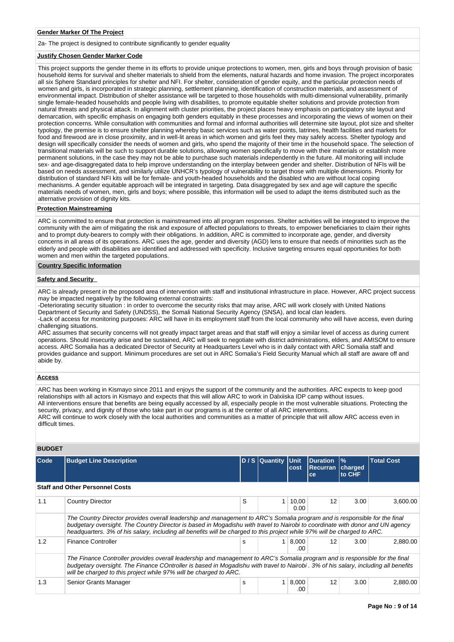## **Gender Marker Of The Project**

2a- The project is designed to contribute significantly to gender equality

## **Justify Chosen Gender Marker Code**

This project supports the gender theme in its efforts to provide unique protections to women, men, girls and boys through provision of basic household items for survival and shelter materials to shield from the elements, natural hazards and home invasion. The project incorporates all six Sphere Standard principles for shelter and NFI. For shelter, consideration of gender equity, and the particular protection needs of women and girls, is incorporated in strategic planning, settlement planning, identification of construction materials, and assessment of environmental impact. Distribution of shelter assistance will be targeted to those households with multi-dimensional vulnerability, primarily single female-headed households and people living with disabilities, to promote equitable shelter solutions and provide protection from natural threats and physical attack. In alignment with cluster priorities, the project places heavy emphasis on participatory site layout and demarcation, with specific emphasis on engaging both genders equitably in these processes and incorporating the views of women on their protection concerns. While consultation with communities and formal and informal authorities will determine site layout, plot size and shelter typology, the premise is to ensure shelter planning whereby basic services such as water points, latrines, health facilities and markets for food and firewood are in close proximity, and in well-lit areas in which women and girls feel they may safely access. Shelter typology and design will specifically consider the needs of women and girls, who spend the majority of their time in the household space. The selection of transitional materials will be such to support durable solutions, allowing women specifically to move with their materials or establish more permanent solutions, in the case they may not be able to purchase such materials independently in the future. All monitoring will include sex- and age-disaggregated data to help improve understanding on the interplay between gender and shelter. Distribution of NFIs will be based on needs assessment, and similarly utilize UNHCR's typology of vulnerability to target those with multiple dimensions. Priority for distribution of standard NFI kits will be for female- and youth-headed households and the disabled who are without local coping mechanisms. A gender equitable approach will be integrated in targeting. Data disaggregated by sex and age will capture the specific materials needs of women, men, girls and boys; where possible, this information will be used to adapt the items distributed such as the alternative provision of dignity kits.

#### **Protection Mainstreaming**

ARC is committed to ensure that protection is mainstreamed into all program responses. Shelter activities will be integrated to improve the community with the aim of mitigating the risk and exposure of affected populations to threats, to empower beneficiaries to claim their rights and to prompt duty-bearers to comply with their obligations. In addition, ARC is committed to incorporate age, gender, and diversity concerns in all areas of its operations. ARC uses the age, gender and diversity (AGD) lens to ensure that needs of minorities such as the elderly and people with disabilities are identified and addressed with specificity. Inclusive targeting ensures equal opportunities for both women and men within the targeted populations.

#### **Country Specific Information**

# **Safety and Security**

ARC is already present in the proposed area of intervention with staff and institutional infrastructure in place. However, ARC project success may be impacted negatively by the following external constraints:

-Deteriorating security situation : in order to overcome the security risks that may arise, ARC will work closely with United Nations Department of Security and Safety (UNDSS), the Somali National Security Agency (SNSA), and local clan leaders.

-Lack of access for monitoring purposes: ARC will have in its employment staff from the local community who will have access, even during challenging situations.

ARC assumes that security concerns will not greatly impact target areas and that staff will enjoy a similar level of access as during current operations. Should insecurity arise and be sustained, ARC will seek to negotiate with district administrations, elders, and AMISOM to ensure access. ARC Somalia has a dedicated Director of Security at Headquarters Level who is in daily contact with ARC Somalia staff and provides guidance and support. Minimum procedures are set out in ARC Somalia's Field Security Manual which all staff are aware off and abide by.

#### **Access**

ARC has been working in Kismayo since 2011 and enjoys the support of the community and the authorities. ARC expects to keep good relationships with all actors in Kismayo and expects that this will allow ARC to work in Dalxiiska IDP camp without issues. All interventions ensure that benefits are being equally accessed by all, especially people in the most vulnerable situations. Protecting the security, privacy, and dignity of those who take part in our programs is at the center of all ARC interventions. ARC will continue to work closely with the local authorities and communities as a matter of principle that will allow ARC access even in difficult times.

# **BUDGET**

| Code | <b>Budget Line Description</b>                                                                                                                                                                                                                                                                                                                                                         |   | D / S Quantity | <b>Unit</b><br>cost | <b>Duration</b><br><b>Recurran</b><br>ce | $\frac{9}{6}$<br>charged<br>to CHF | <b>Total Cost</b> |  |  |
|------|----------------------------------------------------------------------------------------------------------------------------------------------------------------------------------------------------------------------------------------------------------------------------------------------------------------------------------------------------------------------------------------|---|----------------|---------------------|------------------------------------------|------------------------------------|-------------------|--|--|
|      | <b>Staff and Other Personnel Costs</b>                                                                                                                                                                                                                                                                                                                                                 |   |                |                     |                                          |                                    |                   |  |  |
| 1.1  | <b>Country Director</b>                                                                                                                                                                                                                                                                                                                                                                | S | 1              | 10.00<br>0.00       | 12                                       | 3.00                               | 3.600.00          |  |  |
|      | The Country Director provides overall leadership and management to ARC's Somalia program and is responsible for the final<br>budgetary oversight. The Country Director is based in Mogadishu with travel to Nairobi to coordinate with donor and UN agency<br>headquarters. 3% of his salary, including all benefits will be charged to this project while 97% will be charged to ARC. |   |                |                     |                                          |                                    |                   |  |  |
| 1.2  | <b>Finance Controller</b>                                                                                                                                                                                                                                                                                                                                                              | s |                | 8,000<br>.00        | 12                                       | 3.00                               | 2.880.00          |  |  |
|      | The Finance Controller provides overall leadership and management to ARC's Somalia program and is responsible for the final<br>budgetary oversight. The Finance COntroller is based in Mogadishu with travel to Nairobi . 3% of his salary, including all benefits<br>will be charged to this project while 97% will be charged to ARC.                                                |   |                |                     |                                          |                                    |                   |  |  |
| 1.3  | Senior Grants Manager                                                                                                                                                                                                                                                                                                                                                                  | s | 1              | 8,000<br>.00        | 12                                       | 3.00                               | 2,880.00          |  |  |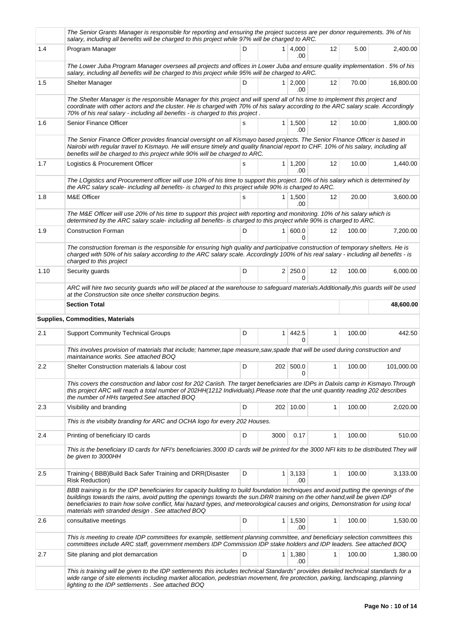|      | The Senior Grants Manager is responsible for reporting and ensuring the project success are per donor requirements. 3% of his<br>salary, including all benefits will be charged to this project while 97% will be charged to ARC.                                                                                                                                                                                                                          |   |                |                       |              |        |            |
|------|------------------------------------------------------------------------------------------------------------------------------------------------------------------------------------------------------------------------------------------------------------------------------------------------------------------------------------------------------------------------------------------------------------------------------------------------------------|---|----------------|-----------------------|--------------|--------|------------|
| 1.4  | Program Manager                                                                                                                                                                                                                                                                                                                                                                                                                                            | D |                | $1 \mid 4,000$<br>.00 | 12           | 5.00   | 2,400.00   |
|      | The Lower Juba Program Manager oversees all projects and offices in Lower Juba and ensure quality implementation . 5% of his<br>salary, including all benefits will be charged to this project while 95% will be charged to ARC.                                                                                                                                                                                                                           |   |                |                       |              |        |            |
| 1.5  | <b>Shelter Manager</b>                                                                                                                                                                                                                                                                                                                                                                                                                                     | D |                | $1 \ 2,000$<br>.00    | 12           | 70.00  | 16,800.00  |
|      | The Shelter Manager is the responsible Manager for this project and will spend all of his time to implement this project and<br>coordinate with other actors and the cluster. He is charged with 70% of his salary according to the ARC salary scale. Accordingly<br>70% of his real salary - including all benefits - is charged to this project.                                                                                                         |   |                |                       |              |        |            |
| 1.6  | Senior Finance Officer                                                                                                                                                                                                                                                                                                                                                                                                                                     |   |                | $1 \mid 1,500$<br>.00 | 12           | 10.00  | 1,800.00   |
|      | The Senior Finance Officer provides financial oversight on all Kismayo based projects. The Senior Flnance Officer is based in<br>Nairobi with regular travel to Kismayo. He will ensure timely and quality financial report to CHF. 10% of his salary, including all<br>benefits will be charged to this project while 90% will be charged to ARC.                                                                                                         |   |                |                       |              |        |            |
| 1.7  | Logistics & Procurement Officer                                                                                                                                                                                                                                                                                                                                                                                                                            | s |                | $1 \mid 1,200$<br>.00 | 12           | 10.00  | 1,440.00   |
|      | The LOgistics and Procurement officer will use 10% of his time to support this project. 10% of his salary which is determined by<br>the ARC salary scale- including all benefits- is charged to this project while 90% is charged to ARC.                                                                                                                                                                                                                  |   |                |                       |              |        |            |
| 1.8  | M&E Officer                                                                                                                                                                                                                                                                                                                                                                                                                                                | s |                | $1 \mid 1,500$<br>.00 | 12           | 20.00  | 3,600.00   |
|      | The M&E Officer will use 20% of his time to support this project with reporting and monitoring. 10% of his salary which is<br>determined by the ARC salary scale- including all benefits- is charged to this project while 90% is charged to ARC.                                                                                                                                                                                                          |   |                |                       |              |        |            |
| 1.9  | <b>Construction Forman</b>                                                                                                                                                                                                                                                                                                                                                                                                                                 | D | 1 <sup>1</sup> | 600.0<br>$\Omega$     | 12           | 100.00 | 7,200.00   |
|      | The construction foreman is the responsible for ensuring high quality and participative construction of temporary shelters. He is<br>charged with 50% of his salary according to the ARC salary scale. Accordingly 100% of his real salary - including all benefits - is<br>charged to this project                                                                                                                                                        |   |                |                       |              |        |            |
| 1.10 | Security guards                                                                                                                                                                                                                                                                                                                                                                                                                                            | D |                | $2 \mid 250.0$<br>0   | 12           | 100.00 | 6,000.00   |
|      | ARC will hire two security guards who will be placed at the warehouse to safeguard materials.Additionally,this guards will be used<br>at the Construction site once shelter construction begins.                                                                                                                                                                                                                                                           |   |                |                       |              |        |            |
|      | <b>Section Total</b>                                                                                                                                                                                                                                                                                                                                                                                                                                       |   |                |                       |              |        | 48,600.00  |
|      | <b>Supplies, Commodities, Materials</b>                                                                                                                                                                                                                                                                                                                                                                                                                    |   |                |                       |              |        |            |
| 2.1  | <b>Support Community Technical Groups</b>                                                                                                                                                                                                                                                                                                                                                                                                                  | D |                | $1 \mid 442.5$<br>0   | $\mathbf{1}$ | 100.00 | 442.50     |
|      | This involves provision of materials that include; hammer, tape measure, saw, spade that will be used during construction and<br>maintainance works. See attached BOQ                                                                                                                                                                                                                                                                                      |   |                |                       |              |        |            |
| 2.2  | Shelter Construction materials & labour cost                                                                                                                                                                                                                                                                                                                                                                                                               | D |                | 202 500.0<br>0        | 1            | 100.00 | 101,000.00 |
|      | This covers the construction and labor cost for 202 Cariish. The target beneficiaries are IDPs in Dalxiis camp in Kismayo. Through<br>this project ARC will reach a total number of 202HH(1212 Individuals).Please note that the unit quantity reading 202 describes<br>the number of HHs targeted. See attached BOQ                                                                                                                                       |   |                |                       |              |        |            |
| 2.3  | Visibility and branding                                                                                                                                                                                                                                                                                                                                                                                                                                    | D |                | 202 10.00             | 1            | 100.00 | 2,020.00   |
|      |                                                                                                                                                                                                                                                                                                                                                                                                                                                            |   |                |                       |              |        |            |
|      | This is the visibilty branding for ARC and OCHA logo for every 202 Houses.                                                                                                                                                                                                                                                                                                                                                                                 |   |                |                       |              |        |            |
| 2.4  | Printing of beneficiary ID cards                                                                                                                                                                                                                                                                                                                                                                                                                           | D | 3000           | 0.17                  | 1            | 100.00 | 510.00     |
|      | This is the beneficiary ID cards for NFI's beneficiaries.3000 ID cards will be printed for the 3000 NFI kits to be distributed. They will<br>be given to 3000HH                                                                                                                                                                                                                                                                                            |   |                |                       |              |        |            |
| 2.5  | Training-(BBB) Build Back Safer Training and DRR(Disaster<br><b>Risk Reduction)</b>                                                                                                                                                                                                                                                                                                                                                                        | D | 1 <sup>1</sup> | 3,133<br>.00          | 1            | 100.00 | 3,133.00   |
|      | BBB training is for the IDP beneficiaries for capacity building to build foundation techniques and avoid putting the openings of the<br>buildings towards the rains, avoid putting the openings towards the sun.DRR training on the other hand, will be given IDP<br>beneficiaries to train how solve conflict, Mai hazard types, and meteorological causes and origins, Demonstration for using local<br>materials with stranded design. See attached BOQ |   |                |                       |              |        |            |
| 2.6  | consultative meetings                                                                                                                                                                                                                                                                                                                                                                                                                                      | D |                | $1 \mid 1,530$<br>.00 | 1            | 100.00 | 1,530.00   |
|      | This is meeting to create IDP committees for example, settlement planning committee, and beneficiary selection committees this<br>committees include ARC staff, government members IDP Commission IDP stake holders and IDP leaders. See attached BOQ                                                                                                                                                                                                      |   |                |                       |              |        |            |
| 2.7  | Site planing and plot demarcation                                                                                                                                                                                                                                                                                                                                                                                                                          | D |                | $1 \mid 1,380$<br>.00 | 1            | 100.00 | 1,380.00   |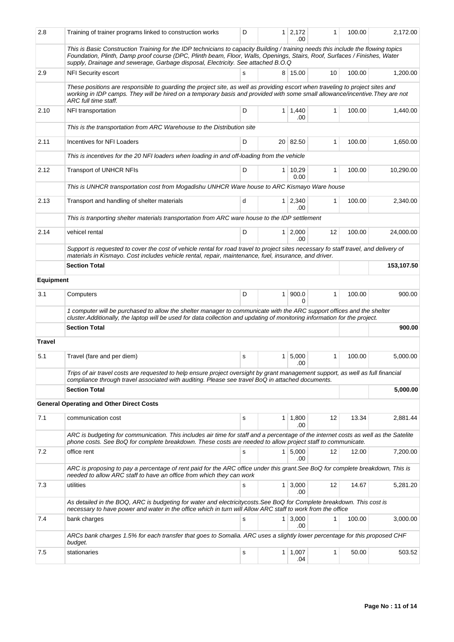| 2.8              | Training of trainer programs linked to construction works                                                                                                                                                                                                                                                                                          | D |                | $1 \mid 2,172$<br>.00  | 1            | 100.00 | 2,172.00   |
|------------------|----------------------------------------------------------------------------------------------------------------------------------------------------------------------------------------------------------------------------------------------------------------------------------------------------------------------------------------------------|---|----------------|------------------------|--------------|--------|------------|
|                  | This is Basic Construction Training for the IDP technicians to capacity Building / training needs this include the flowing topics<br>Foundation, Plinth, Damp proof course (DPC, Plinth beam, Floor, Walls, Openings, Stairs, Roof, Surfaces / Finishes, Water<br>supply, Drainage and sewerage, Garbage disposal, Electricity. See attached B.O.Q |   |                |                        |              |        |            |
| 2.9              | <b>NFI Security escort</b>                                                                                                                                                                                                                                                                                                                         | s |                | 8 15.00                | 10           | 100.00 | 1,200.00   |
|                  | These positions are responsible to guarding the project site, as well as providing escort when traveling to project sites and<br>working in IDP camps. They will be hired on a temporary basis and provided with some small allowance/incentive. They are not<br>ARC full time staff.                                                              |   |                |                        |              |        |            |
| 2.10             | NFI transportation                                                                                                                                                                                                                                                                                                                                 | D |                | $1 \mid 1,440$<br>.00  | $\mathbf{1}$ | 100.00 | 1,440.00   |
|                  | This is the transportation from ARC Warehouse to the Distribution site                                                                                                                                                                                                                                                                             |   |                |                        |              |        |            |
| 2.11             | Incentives for NFI Loaders                                                                                                                                                                                                                                                                                                                         | D |                | 20 82.50               | 1            | 100.00 | 1,650.00   |
|                  | This is incentives for the 20 NFI loaders when loading in and off-loading from the vehicle                                                                                                                                                                                                                                                         |   |                |                        |              |        |            |
| 2.12             | <b>Transport of UNHCR NFIs</b>                                                                                                                                                                                                                                                                                                                     | D |                | $1 \mid 10,29$<br>0.00 | 1            | 100.00 | 10,290.00  |
|                  | This is UNHCR transportation cost from Mogadishu UNHCR Ware house to ARC Kismayo Ware house                                                                                                                                                                                                                                                        |   |                |                        |              |        |            |
| 2.13             | Transport and handling of shelter materials                                                                                                                                                                                                                                                                                                        | d | 1              | 2,340<br>.00           | 1            | 100.00 | 2,340.00   |
|                  | This is tranporting shelter materials transportation from ARC ware house to the IDP settlement                                                                                                                                                                                                                                                     |   |                |                        |              |        |            |
| 2.14             | vehicel rental                                                                                                                                                                                                                                                                                                                                     | D | 1 <sup>1</sup> | 2,000<br>.00           | 12           | 100.00 | 24,000.00  |
|                  | Support is requested to cover the cost of vehicle rental for road travel to project sites necessary fo staff travel, and delivery of<br>materials in Kismayo. Cost includes vehicle rental, repair, maintenance, fuel, insurance, and driver.                                                                                                      |   |                |                        |              |        |            |
|                  | <b>Section Total</b>                                                                                                                                                                                                                                                                                                                               |   |                |                        |              |        | 153,107.50 |
| <b>Equipment</b> |                                                                                                                                                                                                                                                                                                                                                    |   |                |                        |              |        |            |
| 3.1              | Computers                                                                                                                                                                                                                                                                                                                                          | D | $\mathbf{1}$   | 900.0<br>0             | 1            | 100.00 | 900.00     |
|                  | 1 computer will be purchased to allow the shelter manager to communicate with the ARC support offices and the shelter<br>cluster. Additionally, the laptop will be used for data collection and updating of monitoring information for the project.                                                                                                |   |                |                        |              |        |            |
|                  | <b>Section Total</b>                                                                                                                                                                                                                                                                                                                               |   |                |                        |              |        | 900.00     |
| <b>Travel</b>    |                                                                                                                                                                                                                                                                                                                                                    |   |                |                        |              |        |            |
| 5.1              | Travel (fare and per diem)                                                                                                                                                                                                                                                                                                                         | s | 1              | 5,000<br>.00           | 1            | 100.00 | 5,000.00   |
|                  | Trips of air travel costs are requested to help ensure project oversight by grant management support, as well as full financial<br>compliance through travel associated with auditing. Please see travel BoQ in attached documents.                                                                                                                |   |                |                        |              |        |            |
|                  | <b>Section Total</b>                                                                                                                                                                                                                                                                                                                               |   |                |                        |              |        | 5,000.00   |
|                  | <b>General Operating and Other Direct Costs</b>                                                                                                                                                                                                                                                                                                    |   |                |                        |              |        |            |
| 7.1              | communication cost                                                                                                                                                                                                                                                                                                                                 | s | 1              | 1,800<br>.00           | 12           | 13.34  | 2,881.44   |
|                  | ARC is budgeting for communication. This includes air time for staff and a percentage of the internet costs as well as the Satelite<br>phone costs. See BoQ for complete breakdown. These costs are needed to allow project staff to communicate.                                                                                                  |   |                |                        |              |        |            |
| 7.2              | office rent                                                                                                                                                                                                                                                                                                                                        | s | 1 <sup>1</sup> | 5,000                  | 12           | 12.00  | 7,200.00   |
|                  | ARC is proposing to pay a percentage of rent paid for the ARC office under this grant.See BoQ for complete breakdown, This is                                                                                                                                                                                                                      |   |                | .00                    |              |        |            |
| 7.3              | needed to allow ARC staff to have an office from which they can work<br>utilities                                                                                                                                                                                                                                                                  | s |                | $1 \mid 3,000$         | 12           | 14.67  | 5,281.20   |
|                  | As detailed in the BOQ, ARC is budgeting for water and electricitycosts. See BoQ for Complete breakdown. This cost is                                                                                                                                                                                                                              |   |                | .00                    |              |        |            |
|                  | necessary to have power and water in the office which in turn will Allow ARC staff to work from the office                                                                                                                                                                                                                                         |   |                |                        |              |        |            |
| 7.4              | bank charges                                                                                                                                                                                                                                                                                                                                       | s | $\mathbf{1}$   | 3,000<br>.00           | 1            | 100.00 | 3,000.00   |
|                  | ARCs bank charges 1.5% for each transfer that goes to Somalia. ARC uses a slightly lower percentage for this proposed CHF<br>budget.                                                                                                                                                                                                               |   |                |                        |              |        |            |
| 7.5              | stationaries                                                                                                                                                                                                                                                                                                                                       | s |                | $1 \mid 1,007$<br>.04  | 1            | 50.00  | 503.52     |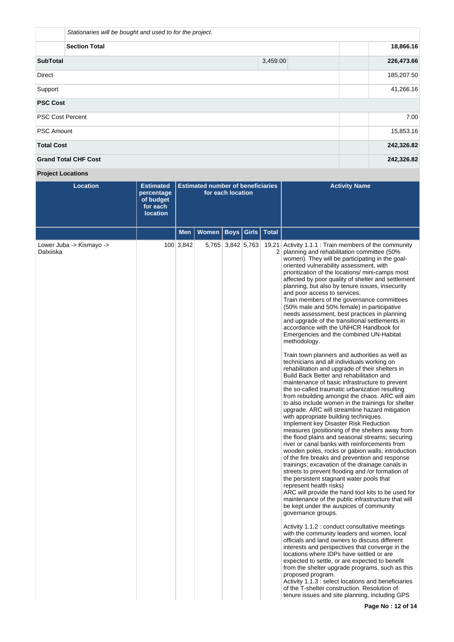|                         | Stationaries will be bought and used to for the project. |          |            |
|-------------------------|----------------------------------------------------------|----------|------------|
|                         | 18,866.16                                                |          |            |
| <b>SubTotal</b>         |                                                          | 3,459.00 | 226,473.66 |
| <b>Direct</b>           |                                                          |          | 185,207.50 |
| Support                 | 41,266.16                                                |          |            |
| <b>PSC Cost</b>         |                                                          |          |            |
| <b>PSC Cost Percent</b> |                                                          |          | 7.00       |
| <b>PSC Amount</b>       |                                                          |          | 15,853.16  |
| <b>Total Cost</b>       |                                                          |          | 242,326.82 |
|                         | <b>Grand Total CHF Cost</b>                              |          | 242,326.82 |

**Project Locations**

| <b>Location</b>                       | <b>Estimated</b><br>percentage<br>of budget<br>for each<br><b>location</b> | <b>Estimated number of beneficiaries</b><br>for each location |                      |                   |                         | <b>Activity Name</b>                                                                                                                                                                                                                                                                                                                                                                                                                                                                                                                                                                                                                                                                                                                                                                                                                                                                                                                                                                                                                                                                                                                                                                                                                                                                                                                                                                                                                                                                                                                                                                                                                                                                                                                                                                                                                                                                                                                                                                                                                                                                                                                                                                                                                                                                                                                                                                                      |
|---------------------------------------|----------------------------------------------------------------------------|---------------------------------------------------------------|----------------------|-------------------|-------------------------|-----------------------------------------------------------------------------------------------------------------------------------------------------------------------------------------------------------------------------------------------------------------------------------------------------------------------------------------------------------------------------------------------------------------------------------------------------------------------------------------------------------------------------------------------------------------------------------------------------------------------------------------------------------------------------------------------------------------------------------------------------------------------------------------------------------------------------------------------------------------------------------------------------------------------------------------------------------------------------------------------------------------------------------------------------------------------------------------------------------------------------------------------------------------------------------------------------------------------------------------------------------------------------------------------------------------------------------------------------------------------------------------------------------------------------------------------------------------------------------------------------------------------------------------------------------------------------------------------------------------------------------------------------------------------------------------------------------------------------------------------------------------------------------------------------------------------------------------------------------------------------------------------------------------------------------------------------------------------------------------------------------------------------------------------------------------------------------------------------------------------------------------------------------------------------------------------------------------------------------------------------------------------------------------------------------------------------------------------------------------------------------------------------------|
|                                       |                                                                            | <b>Men</b>                                                    | Women   Boys   Girls |                   | <b>Total</b>            |                                                                                                                                                                                                                                                                                                                                                                                                                                                                                                                                                                                                                                                                                                                                                                                                                                                                                                                                                                                                                                                                                                                                                                                                                                                                                                                                                                                                                                                                                                                                                                                                                                                                                                                                                                                                                                                                                                                                                                                                                                                                                                                                                                                                                                                                                                                                                                                                           |
| Lower Juba -> Kismayo -><br>Dalxiiska |                                                                            | 100 3,842                                                     |                      | 5,765 3,842 5,763 | 19,21<br>$\overline{2}$ | Activity 1.1.1 : Train members of the community<br>planning and rehabilitation committee (50%<br>women). They will be participating in the goal-<br>oriented vulnerability assessment, with<br>prioritization of the locations/ mini-camps most<br>affected by poor quality of shelter and settlement<br>planning, but also by tenure issues, insecurity<br>and poor access to services.<br>Train members of the governance committees<br>(50% male and 50% female) in participative<br>needs assessment, best practices in planning<br>and upgrade of the transitional settlements in<br>accordance with the UNHCR Handbook for<br>Emergencies and the combined UN-Habitat<br>methodology.<br>Train town planners and authorities as well as<br>technicians and all individuals working on<br>rehabilitation and upgrade of their shelters in<br>Build Back Better and rehabilitation and<br>maintenance of basic infrastructure to prevent<br>the so-called traumatic urbanization resulting<br>from rebuilding amongst the chaos. ARC will aim<br>to also include women in the trainings for shelter<br>upgrade. ARC will streamline hazard mitigation<br>with appropriate building techniques.<br>Implement key Disaster Risk Reduction<br>measures (positioning of the shelters away from<br>the flood plains and seasonal streams; securing<br>river or canal banks with reinforcements from<br>wooden poles, rocks or gabion walls; introduction<br>of the fire breaks and prevention and response<br>trainings; excavation of the drainage canals in<br>streets to prevent flooding and /or formation of<br>the persistent stagnant water pools that<br>represent health risks)<br>ARC will provide the hand tool kits to be used for<br>maintenance of the public infrastructure that will<br>be kept under the auspices of community<br>governance groups.<br>Activity 1.1.2 : conduct consultative meetings<br>with the community leaders and women, local<br>officials and land owners to discuss different<br>interests and perspectives that converge in the<br>locations where IDPs have settled or are<br>expected to settle, or are expected to benefit<br>from the shelter upgrade programs, such as this<br>proposed program.<br>Activity 1.1.3 : select locations and beneficiaries<br>of the T-shelter construction. Resolution of<br>tenure issues and site planning, including GPS |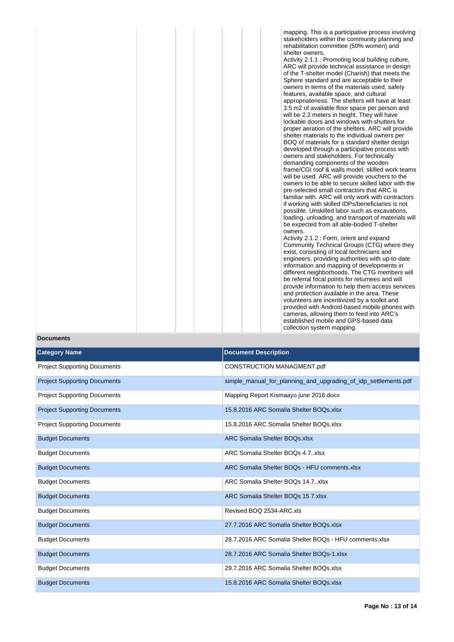mapping. This is a participative process involving stakeholders within the community planning and rehabilitation committee (50% women) and shelter owners, Activity 2.1.1 : Promoting local building culture, ARC will provide technical assistance in design of the T-shelter model (Charish) that meets the Sphere standard and are acceptable to their owners in terms of the materials used, safety features, available space, and cultural appropriateness. The shelters will have at least 3.5 m2 of available floor space per person and will be 2.2 meters in height. They will have lockable doors and windows with shutters for proper aeration of the shelters. ARC will provide shelter materials to the individual owners per BOQ of materials for a standard shelter design developed through a participative process with owners and stakeholders. For technically demanding components of the wooden frame/CGI roof & walls model, skilled work teams will be used. ARC will provide vouchers to the owners to be able to secure skilled labor with the pre-selected small contractors that ARC is familiar with. ARC will only work with contractors if working with skilled IDPs/beneficiaries is not possible. Unskilled labor such as excavations, loading, unloading, and transport of materials will be expected from all able-bodied T-shelter owners.

Activity 2.1.2 : Form, orient and expand Community Technical Groups (CTG) where they exist, consisting of local technicians and engineers, providing authorities with up-to-date information and mapping of developments in different neighborhoods. The CTG members will be referral focal points for returnees and will provide information to help them access services and protection available in the area. These volunteers are incentivized by a toolkit and provided with Android-based mobile phones with cameras, allowing them to feed into ARC's established mobile and GPS-based data collection system mapping.

## **Documents**

| <b>Category Name</b>                | <b>Document Description</b>                                     |
|-------------------------------------|-----------------------------------------------------------------|
| <b>Project Supporting Documents</b> | CONSTRUCTION MANAGMENT.pdf                                      |
| <b>Project Supporting Documents</b> | simple_manual_for_planning_and_upgrading_of_idp_settlements.pdf |
| <b>Project Supporting Documents</b> | Mapping Report Kismaayo june 2016.docx                          |
| <b>Project Supporting Documents</b> | 15.8.2016 ARC Somalia Shelter BOQs.xlsx                         |
| <b>Project Supporting Documents</b> | 15.8.2016 ARC Somalia Shelter BOOs.xlsx                         |
| <b>Budget Documents</b>             | <b>ARC Somalia Shelter BOQs.xlsx</b>                            |
| <b>Budget Documents</b>             | ARC Somalia Shelter BOQs 4.7xlsx                                |
| <b>Budget Documents</b>             | ARC Somalia Shelter BOQs - HFU comments.xlsx                    |
| <b>Budget Documents</b>             | ARC Somalia Shelter BOQs 14.7xlsx                               |
| <b>Budget Documents</b>             | ARC Somalia Shelter BOQs 15 7.xlsx                              |
| <b>Budget Documents</b>             | Revised BOQ 2534-ARC.xls                                        |
| <b>Budget Documents</b>             | 27.7.2016 ARC Somalia Shelter BOQs.xlsx                         |
| <b>Budget Documents</b>             | 28.7.2016 ARC Somalia Shelter BOOs - HFU comments.xlsx          |
| <b>Budget Documents</b>             | 28.7.2016 ARC Somalia Shelter BOQs-1.xlsx                       |
| <b>Budget Documents</b>             | 29.7.2016 ARC Somalia Shelter BOQs.xlsx                         |
| <b>Budget Documents</b>             | 15.8.2016 ARC Somalia Shelter BOQs.xlsx                         |